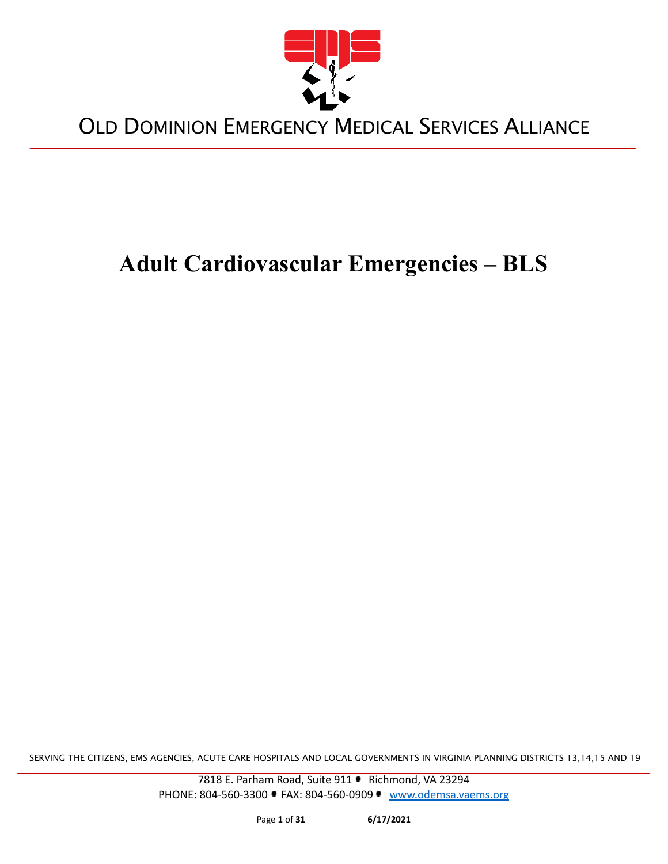

# **Adult Cardiovascular Emergencies – BLS**

SERVING THE CITIZENS, EMS AGENCIES, ACUTE CARE HOSPITALS AND LOCAL GOVERNMENTS IN VIRGINIA PLANNING DISTRICTS 13,14,15 AND 19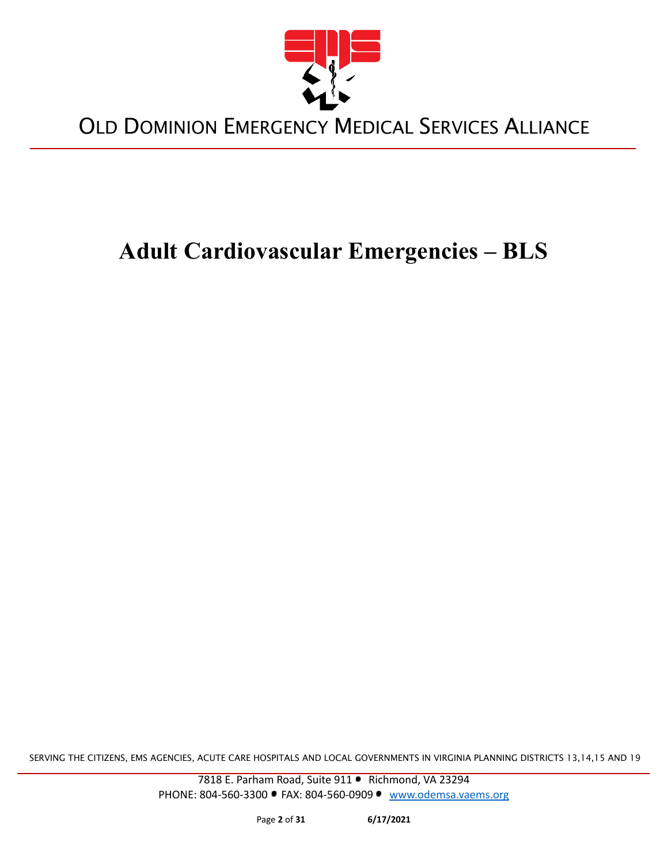

# **Adult Cardiovascular Emergencies – BLS**

SERVING THE CITIZENS, EMS AGENCIES, ACUTE CARE HOSPITALS AND LOCAL GOVERNMENTS IN VIRGINIA PLANNING DISTRICTS 13,14,15 AND 19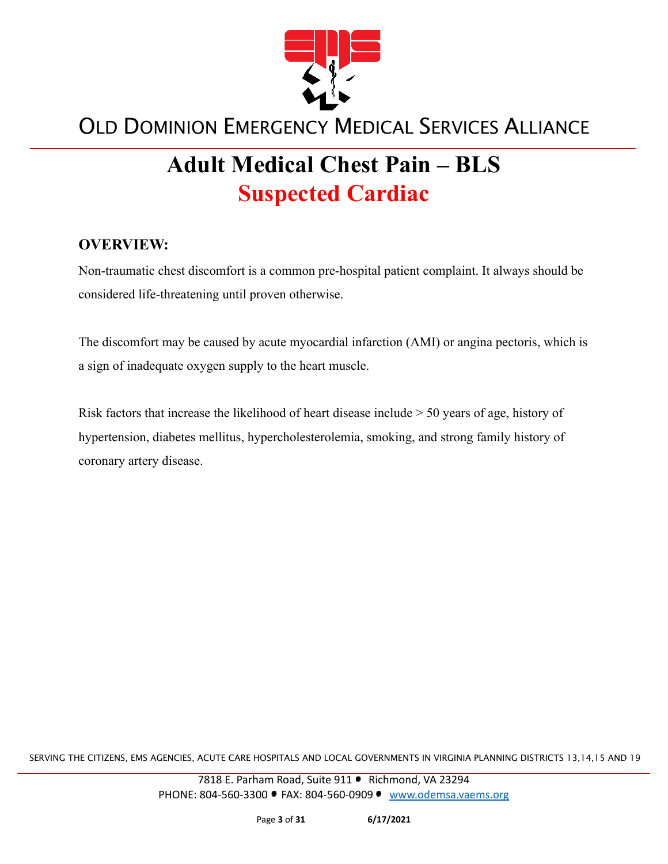

# **Adult Medical Chest Pain – BLS Suspected Cardiac**

#### **OVERVIEW:**

Non-traumatic chest discomfort is a common pre-hospital patient complaint. It always should be considered life-threatening until proven otherwise.

The discomfort may be caused by acute myocardial infarction (AMI) or angina pectoris, which is a sign of inadequate oxygen supply to the heart muscle.

Risk factors that increase the likelihood of heart disease include > 50 years of age, history of hypertension, diabetes mellitus, hypercholesterolemia, smoking, and strong family history of coronary artery disease.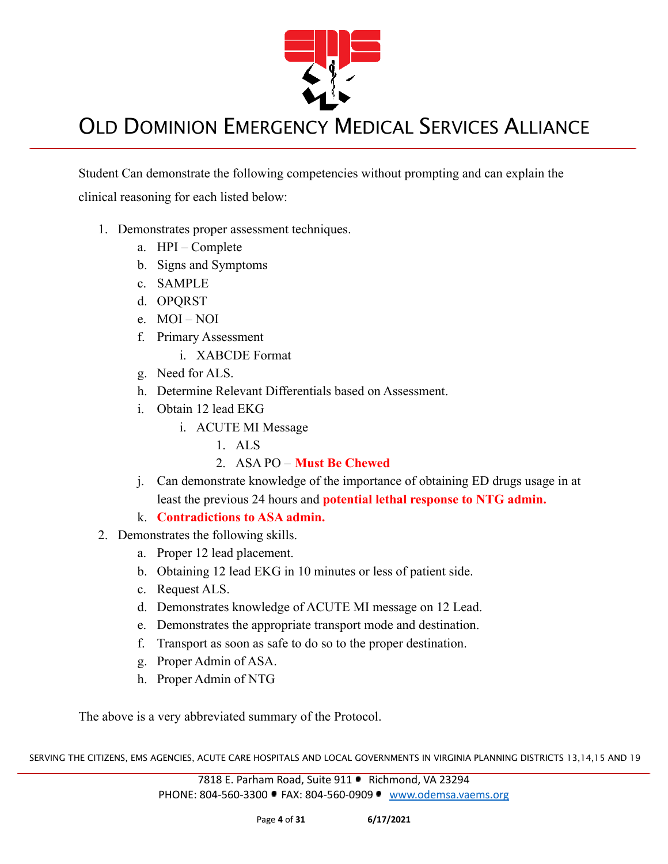

Student Can demonstrate the following competencies without prompting and can explain the clinical reasoning for each listed below:

- 1. Demonstrates proper assessment techniques.
	- a. HPI Complete
	- b. Signs and Symptoms
	- c. SAMPLE
	- d. OPQRST
	- e. MOI NOI
	- f. Primary Assessment
		- i. XABCDE Format
	- g. Need for ALS.
	- h. Determine Relevant Differentials based on Assessment.
	- i. Obtain 12 lead EKG
		- i. ACUTE MI Message
			- 1. ALS
			- 2. ASA PO **Must Be Chewed**
	- j. Can demonstrate knowledge of the importance of obtaining ED drugs usage in at least the previous 24 hours and **potential lethal response to NTG admin.**
	- k. **Contradictions to ASA admin.**
- 2. Demonstrates the following skills.
	- a. Proper 12 lead placement.
	- b. Obtaining 12 lead EKG in 10 minutes or less of patient side.
	- c. Request ALS.
	- d. Demonstrates knowledge of ACUTE MI message on 12 Lead.
	- e. Demonstrates the appropriate transport mode and destination.
	- f. Transport as soon as safe to do so to the proper destination.
	- g. Proper Admin of ASA.
	- h. Proper Admin of NTG

The above is a very abbreviated summary of the Protocol.

SERVING THE CITIZENS, EMS AGENCIES, ACUTE CARE HOSPITALS AND LOCAL GOVERNMENTS IN VIRGINIA PLANNING DISTRICTS 13,14,15 AND 19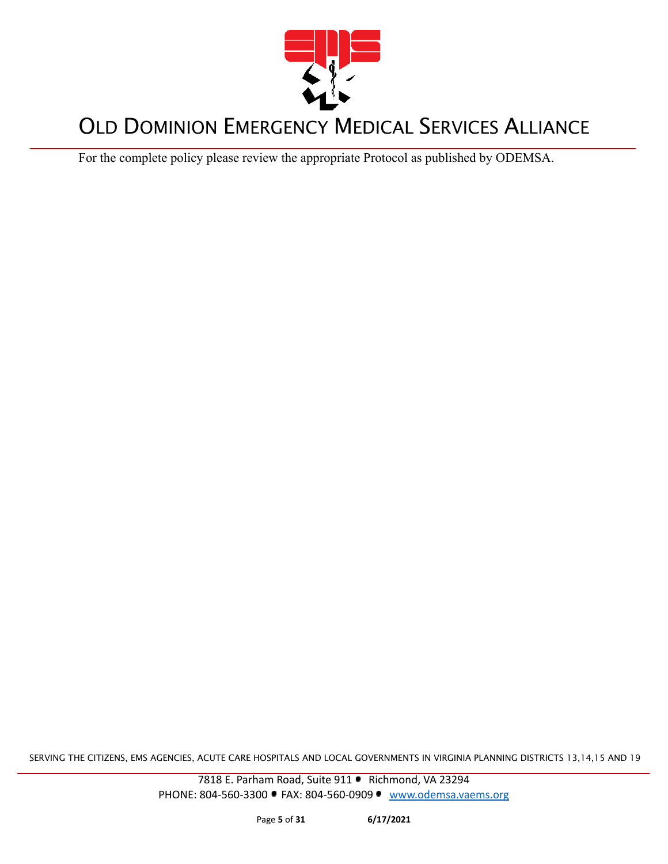

For the complete policy please review the appropriate Protocol as published by ODEMSA.

SERVING THE CITIZENS, EMS AGENCIES, ACUTE CARE HOSPITALS AND LOCAL GOVERNMENTS IN VIRGINIA PLANNING DISTRICTS 13,14,15 AND 19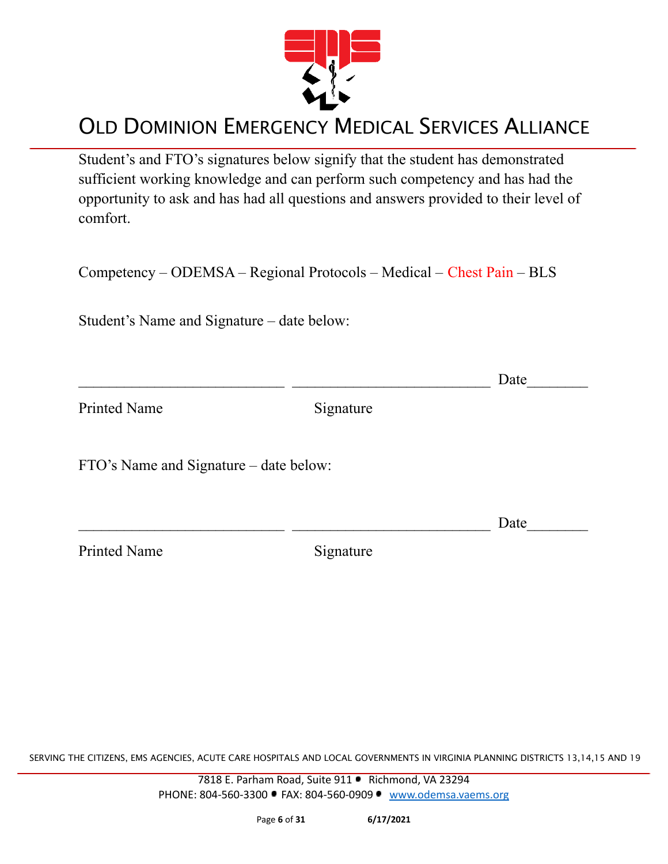

Student's and FTO's signatures below signify that the student has demonstrated sufficient working knowledge and can perform such competency and has had the opportunity to ask and has had all questions and answers provided to their level of comfort.

Competency – ODEMSA – Regional Protocols – Medical – Chest Pain – BLS

Student's Name and Signature – date below:

|                                        |           | Date |
|----------------------------------------|-----------|------|
| <b>Printed Name</b>                    | Signature |      |
| FTO's Name and Signature – date below: |           |      |
|                                        |           | Date |
| <b>Printed Name</b>                    | Signature |      |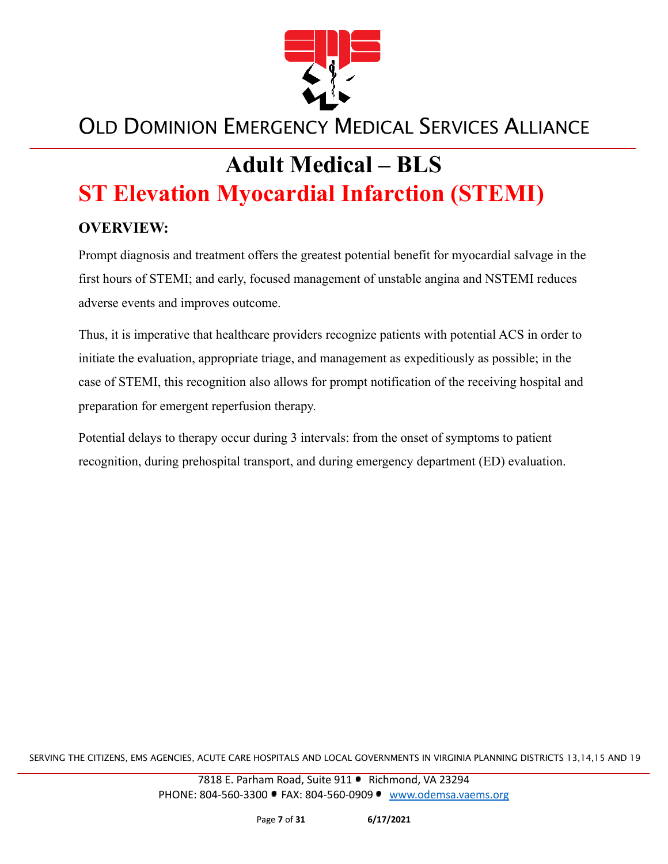

# **Adult Medical – BLS ST Elevation Myocardial Infarction (STEMI)**

#### **OVERVIEW:**

Prompt diagnosis and treatment offers the greatest potential benefit for myocardial salvage in the first hours of STEMI; and early, focused management of unstable angina and NSTEMI reduces adverse events and improves outcome.

Thus, it is imperative that healthcare providers recognize patients with potential ACS in order to initiate the evaluation, appropriate triage, and management as expeditiously as possible; in the case of STEMI, this recognition also allows for prompt notification of the receiving hospital and preparation for emergent reperfusion therapy.

Potential delays to therapy occur during 3 intervals: from the onset of symptoms to patient recognition, during prehospital transport, and during emergency department (ED) evaluation.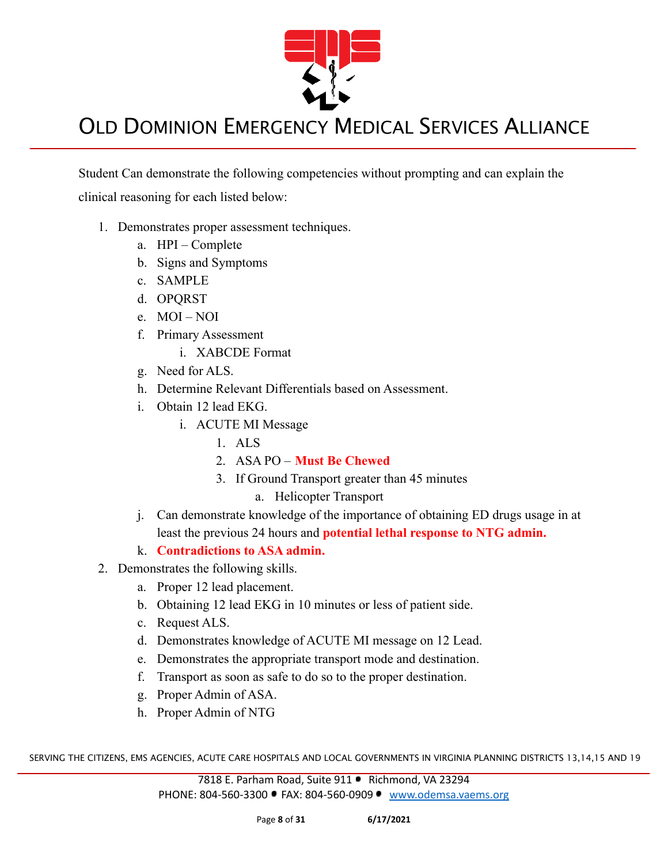

Student Can demonstrate the following competencies without prompting and can explain the clinical reasoning for each listed below:

- 1. Demonstrates proper assessment techniques.
	- a. HPI Complete
	- b. Signs and Symptoms
	- c. SAMPLE
	- d. OPQRST
	- e. MOI NOI
	- f. Primary Assessment
		- i. XABCDE Format
	- g. Need for ALS.
	- h. Determine Relevant Differentials based on Assessment.
	- i. Obtain 12 lead EKG.
		- i. ACUTE MI Message
			- 1. ALS
			- 2. ASA PO **Must Be Chewed**
			- 3. If Ground Transport greater than 45 minutes
				- a. Helicopter Transport
	- j. Can demonstrate knowledge of the importance of obtaining ED drugs usage in at least the previous 24 hours and **potential lethal response to NTG admin.**
	- k. **Contradictions to ASA admin.**
- 2. Demonstrates the following skills.
	- a. Proper 12 lead placement.
	- b. Obtaining 12 lead EKG in 10 minutes or less of patient side.
	- c. Request ALS.
	- d. Demonstrates knowledge of ACUTE MI message on 12 Lead.
	- e. Demonstrates the appropriate transport mode and destination.
	- f. Transport as soon as safe to do so to the proper destination.
	- g. Proper Admin of ASA.
	- h. Proper Admin of NTG

SERVING THE CITIZENS, EMS AGENCIES, ACUTE CARE HOSPITALS AND LOCAL GOVERNMENTS IN VIRGINIA PLANNING DISTRICTS 13,14,15 AND 19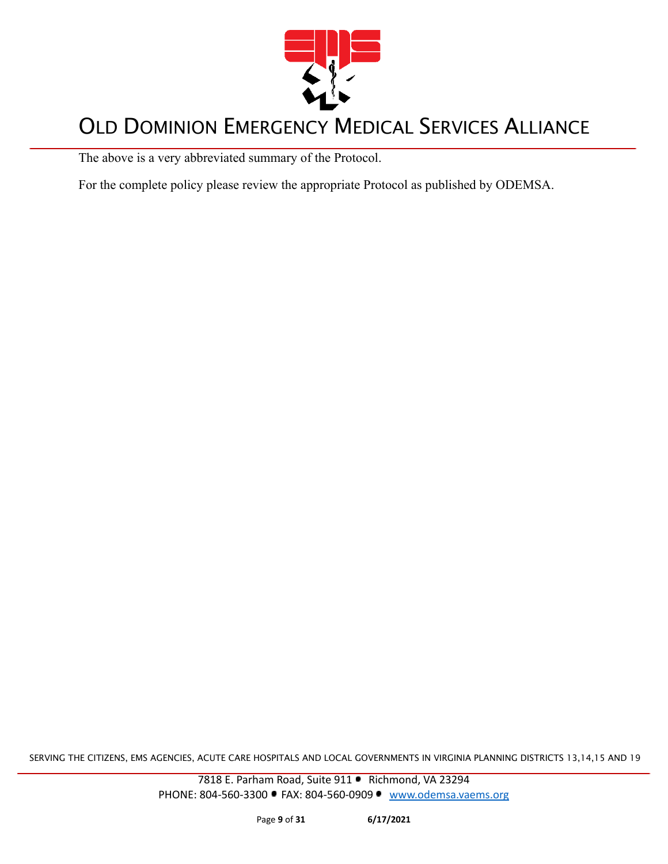

The above is a very abbreviated summary of the Protocol.

For the complete policy please review the appropriate Protocol as published by ODEMSA.

SERVING THE CITIZENS, EMS AGENCIES, ACUTE CARE HOSPITALS AND LOCAL GOVERNMENTS IN VIRGINIA PLANNING DISTRICTS 13,14,15 AND 19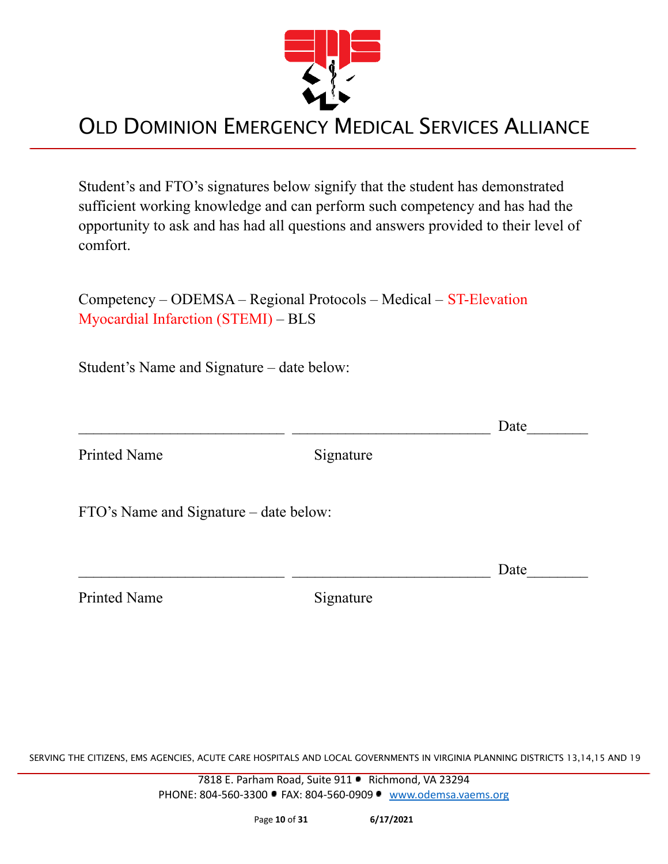

Student's and FTO's signatures below signify that the student has demonstrated sufficient working knowledge and can perform such competency and has had the opportunity to ask and has had all questions and answers provided to their level of comfort.

Competency – ODEMSA – Regional Protocols – Medical – ST-Elevation Myocardial Infarction (STEMI) – BLS

Student's Name and Signature – date below:

Printed Name Signature

FTO's Name and Signature – date below:

Printed Name Signature

SERVING THE CITIZENS, EMS AGENCIES, ACUTE CARE HOSPITALS AND LOCAL GOVERNMENTS IN VIRGINIA PLANNING DISTRICTS 13,14,15 AND 19

7818 E. Parham Road, Suite 911 · Richmond, VA 23294 PHONE: 804-560-3300 • FAX: 804-560-0909 • [www.odemsa.vaems.org](http://www.odemsa.vaems.org)

 $\Box$  Date

 $\Box$  Date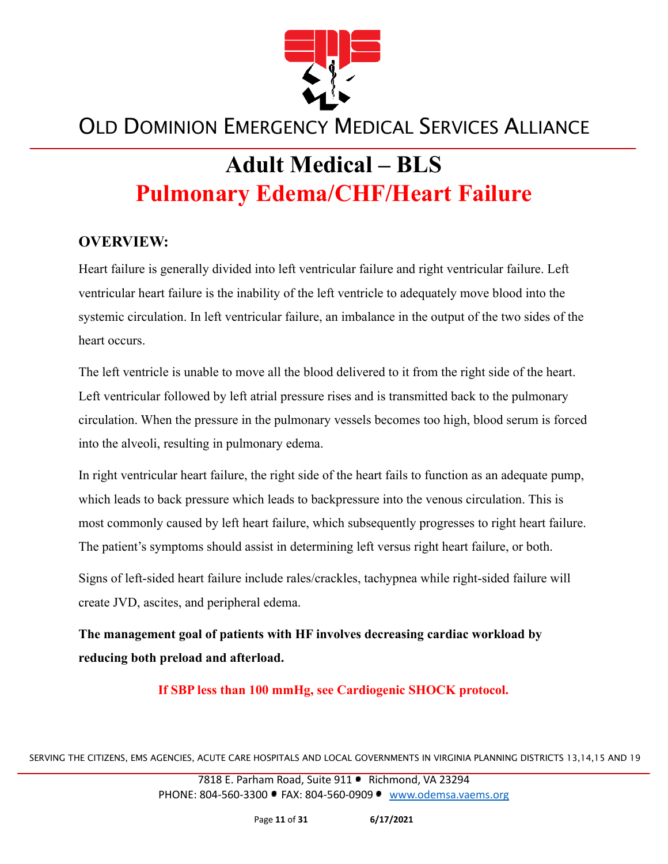

# **Adult Medical – BLS Pulmonary Edema/CHF/Heart Failure**

#### **OVERVIEW:**

Heart failure is generally divided into left ventricular failure and right ventricular failure. Left ventricular heart failure is the inability of the left ventricle to adequately move blood into the systemic circulation. In left ventricular failure, an imbalance in the output of the two sides of the heart occurs.

The left ventricle is unable to move all the blood delivered to it from the right side of the heart. Left ventricular followed by left atrial pressure rises and is transmitted back to the pulmonary circulation. When the pressure in the pulmonary vessels becomes too high, blood serum is forced into the alveoli, resulting in pulmonary edema.

In right ventricular heart failure, the right side of the heart fails to function as an adequate pump, which leads to back pressure which leads to backpressure into the venous circulation. This is most commonly caused by left heart failure, which subsequently progresses to right heart failure. The patient's symptoms should assist in determining left versus right heart failure, or both.

Signs of left-sided heart failure include rales/crackles, tachypnea while right-sided failure will create JVD, ascites, and peripheral edema.

**The management goal of patients with HF involves decreasing cardiac workload by reducing both preload and afterload.**

**If SBP less than 100 mmHg, see Cardiogenic SHOCK protocol.**

SERVING THE CITIZENS, EMS AGENCIES, ACUTE CARE HOSPITALS AND LOCAL GOVERNMENTS IN VIRGINIA PLANNING DISTRICTS 13,14,15 AND 19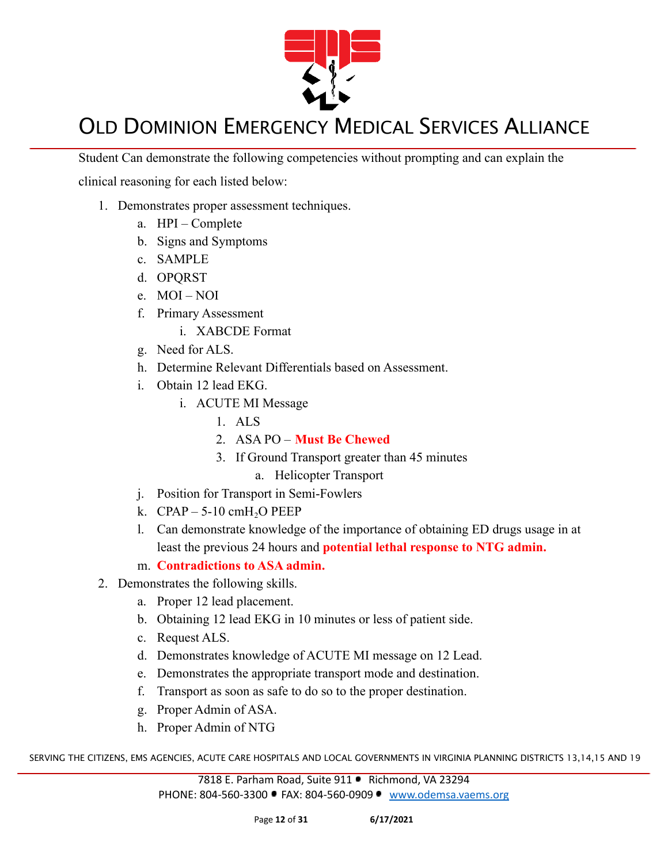

Student Can demonstrate the following competencies without prompting and can explain the

clinical reasoning for each listed below:

- 1. Demonstrates proper assessment techniques.
	- a. HPI Complete
	- b. Signs and Symptoms
	- c. SAMPLE
	- d. OPQRST
	- e. MOI NOI
	- f. Primary Assessment
		- i. XABCDE Format
	- g. Need for ALS.
	- h. Determine Relevant Differentials based on Assessment.
	- i. Obtain 12 lead EKG.
		- i. ACUTE MI Message
			- 1. ALS
			- 2. ASA PO **Must Be Chewed**
			- 3. If Ground Transport greater than 45 minutes
				- a. Helicopter Transport
	- j. Position for Transport in Semi-Fowlers
	- k.  $CPAP 5-10 \text{ cm}H<sub>2</sub>OPEEP$
	- l. Can demonstrate knowledge of the importance of obtaining ED drugs usage in at least the previous 24 hours and **potential lethal response to NTG admin.**
	- m. **Contradictions to ASA admin.**
- 2. Demonstrates the following skills.
	- a. Proper 12 lead placement.
	- b. Obtaining 12 lead EKG in 10 minutes or less of patient side.
	- c. Request ALS.
	- d. Demonstrates knowledge of ACUTE MI message on 12 Lead.
	- e. Demonstrates the appropriate transport mode and destination.
	- f. Transport as soon as safe to do so to the proper destination.
	- g. Proper Admin of ASA.
	- h. Proper Admin of NTG

SERVING THE CITIZENS, EMS AGENCIES, ACUTE CARE HOSPITALS AND LOCAL GOVERNMENTS IN VIRGINIA PLANNING DISTRICTS 13,14,15 AND 19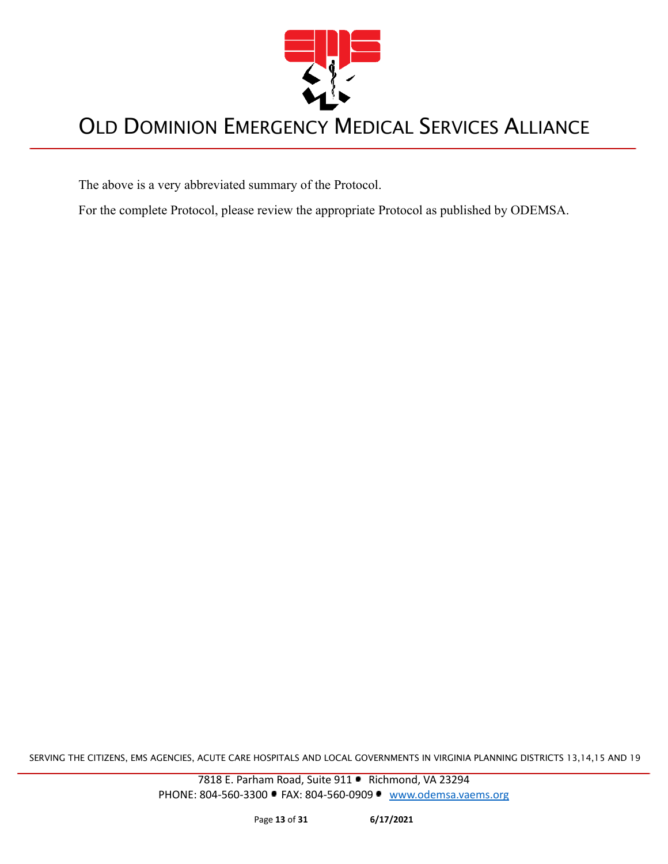

The above is a very abbreviated summary of the Protocol.

For the complete Protocol, please review the appropriate Protocol as published by ODEMSA.

SERVING THE CITIZENS, EMS AGENCIES, ACUTE CARE HOSPITALS AND LOCAL GOVERNMENTS IN VIRGINIA PLANNING DISTRICTS 13,14,15 AND 19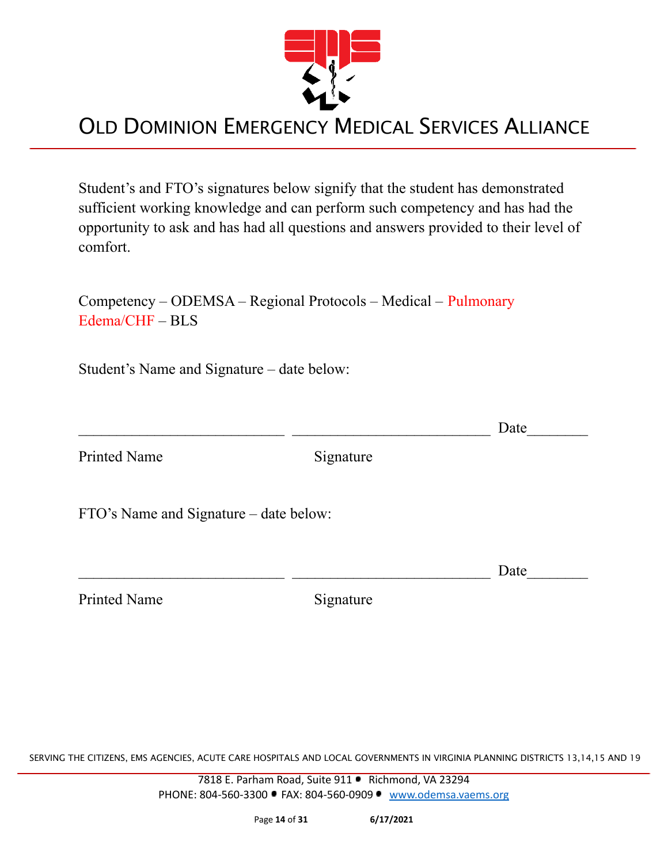

Student's and FTO's signatures below signify that the student has demonstrated sufficient working knowledge and can perform such competency and has had the opportunity to ask and has had all questions and answers provided to their level of comfort.

Competency – ODEMSA – Regional Protocols – Medical – Pulmonary Edema/CHF – BLS

Student's Name and Signature – date below:

 $\Box$  Date

Printed Name Signature

FTO's Name and Signature – date below:

Printed Name Signature

 $\Box$  Date

SERVING THE CITIZENS, EMS AGENCIES, ACUTE CARE HOSPITALS AND LOCAL GOVERNMENTS IN VIRGINIA PLANNING DISTRICTS 13,14,15 AND 19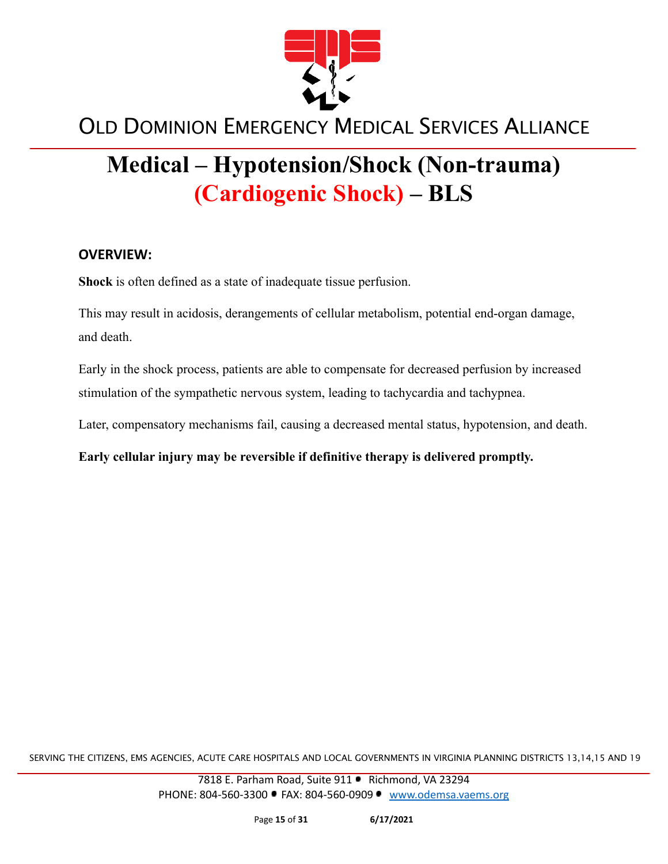

# **Medical – Hypotension/Shock (Non-trauma) (Cardiogenic Shock) – BLS**

#### **OVERVIEW:**

**Shock** is often defined as a state of inadequate tissue perfusion.

This may result in acidosis, derangements of cellular metabolism, potential end-organ damage, and death.

Early in the shock process, patients are able to compensate for decreased perfusion by increased stimulation of the sympathetic nervous system, leading to tachycardia and tachypnea.

Later, compensatory mechanisms fail, causing a decreased mental status, hypotension, and death.

**Early cellular injury may be reversible if definitive therapy is delivered promptly.**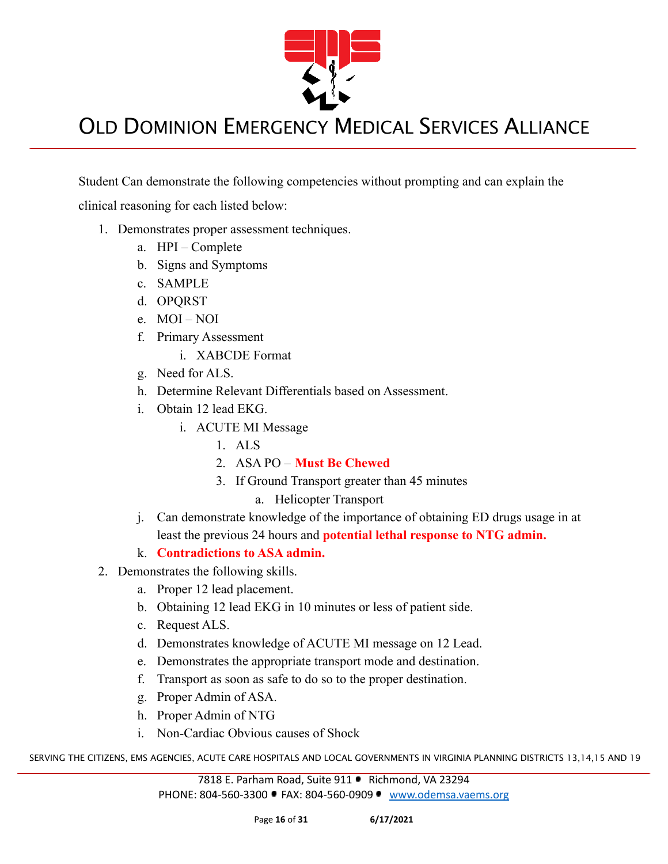

Student Can demonstrate the following competencies without prompting and can explain the

clinical reasoning for each listed below:

- 1. Demonstrates proper assessment techniques.
	- a. HPI Complete
	- b. Signs and Symptoms
	- c. SAMPLE
	- d. OPQRST
	- e. MOI NOI
	- f. Primary Assessment
		- i. XABCDE Format
	- g. Need for ALS.
	- h. Determine Relevant Differentials based on Assessment.
	- i. Obtain 12 lead EKG.
		- i. ACUTE MI Message
			- 1. ALS
			- 2. ASA PO **Must Be Chewed**
			- 3. If Ground Transport greater than 45 minutes
				- a. Helicopter Transport
	- j. Can demonstrate knowledge of the importance of obtaining ED drugs usage in at least the previous 24 hours and **potential lethal response to NTG admin.**
	- k. **Contradictions to ASA admin.**
- 2. Demonstrates the following skills.
	- a. Proper 12 lead placement.
	- b. Obtaining 12 lead EKG in 10 minutes or less of patient side.
	- c. Request ALS.
	- d. Demonstrates knowledge of ACUTE MI message on 12 Lead.
	- e. Demonstrates the appropriate transport mode and destination.
	- f. Transport as soon as safe to do so to the proper destination.
	- g. Proper Admin of ASA.
	- h. Proper Admin of NTG
	- i. Non-Cardiac Obvious causes of Shock

SERVING THE CITIZENS, EMS AGENCIES, ACUTE CARE HOSPITALS AND LOCAL GOVERNMENTS IN VIRGINIA PLANNING DISTRICTS 13,14,15 AND 19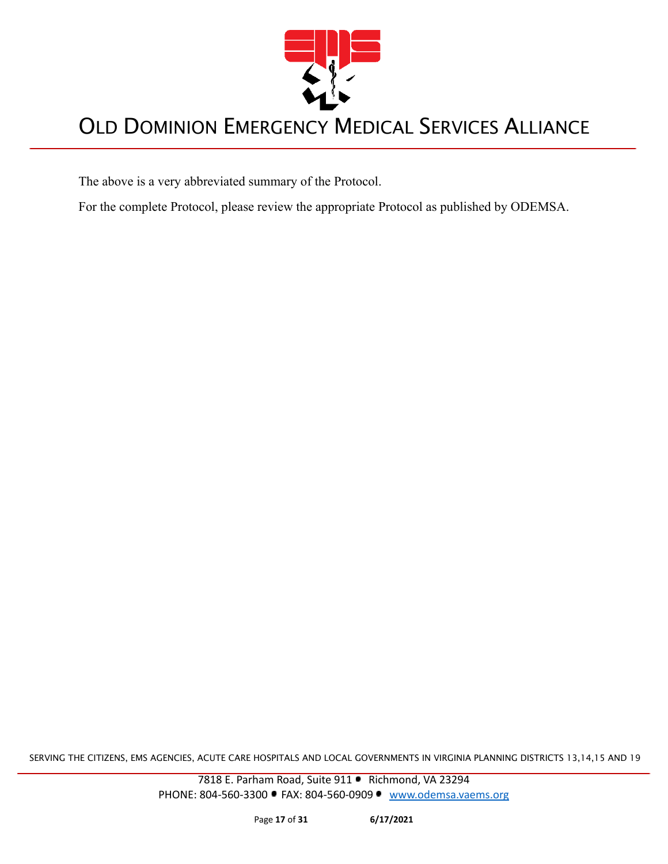

The above is a very abbreviated summary of the Protocol.

For the complete Protocol, please review the appropriate Protocol as published by ODEMSA.

SERVING THE CITIZENS, EMS AGENCIES, ACUTE CARE HOSPITALS AND LOCAL GOVERNMENTS IN VIRGINIA PLANNING DISTRICTS 13,14,15 AND 19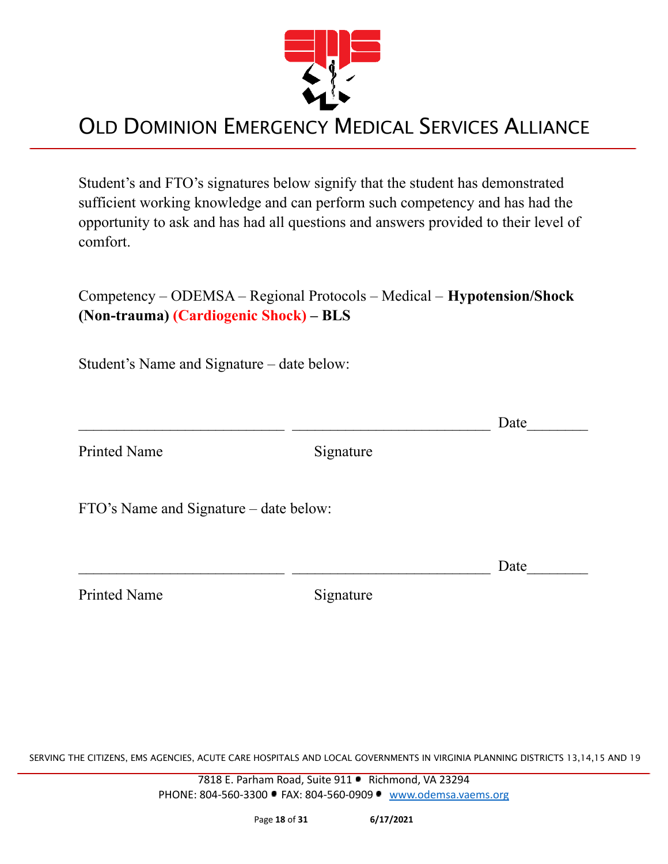

Student's and FTO's signatures below signify that the student has demonstrated sufficient working knowledge and can perform such competency and has had the opportunity to ask and has had all questions and answers provided to their level of comfort.

Competency – ODEMSA – Regional Protocols – Medical – **Hypotension/Shock (Non-trauma) (Cardiogenic Shock) – BLS**

Student's Name and Signature – date below:

Printed Name Signature

 $\Box$  Date

FTO's Name and Signature – date below:

Printed Name Signature

 $\Box$  Date

SERVING THE CITIZENS, EMS AGENCIES, ACUTE CARE HOSPITALS AND LOCAL GOVERNMENTS IN VIRGINIA PLANNING DISTRICTS 13,14,15 AND 19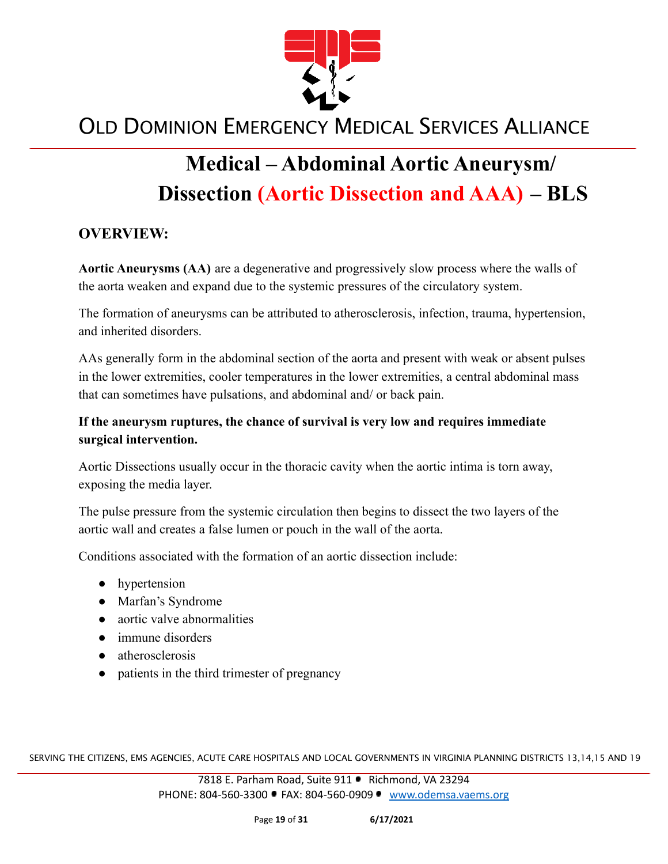

# **Medical – Abdominal Aortic Aneurysm/ Dissection (Aortic Dissection and AAA) – BLS**

#### **OVERVIEW:**

**Aortic Aneurysms (AA)** are a degenerative and progressively slow process where the walls of the aorta weaken and expand due to the systemic pressures of the circulatory system.

The formation of aneurysms can be attributed to atherosclerosis, infection, trauma, hypertension, and inherited disorders.

AAs generally form in the abdominal section of the aorta and present with weak or absent pulses in the lower extremities, cooler temperatures in the lower extremities, a central abdominal mass that can sometimes have pulsations, and abdominal and/ or back pain.

#### **If the aneurysm ruptures, the chance of survival is very low and requires immediate surgical intervention.**

Aortic Dissections usually occur in the thoracic cavity when the aortic intima is torn away, exposing the media layer.

The pulse pressure from the systemic circulation then begins to dissect the two layers of the aortic wall and creates a false lumen or pouch in the wall of the aorta.

Conditions associated with the formation of an aortic dissection include:

- **●** hypertension
- **●** Marfan's Syndrome
- **●** aortic valve abnormalities
- **●** immune disorders
- **●** atherosclerosis
- patients in the third trimester of pregnancy

SERVING THE CITIZENS, EMS AGENCIES, ACUTE CARE HOSPITALS AND LOCAL GOVERNMENTS IN VIRGINIA PLANNING DISTRICTS 13,14,15 AND 19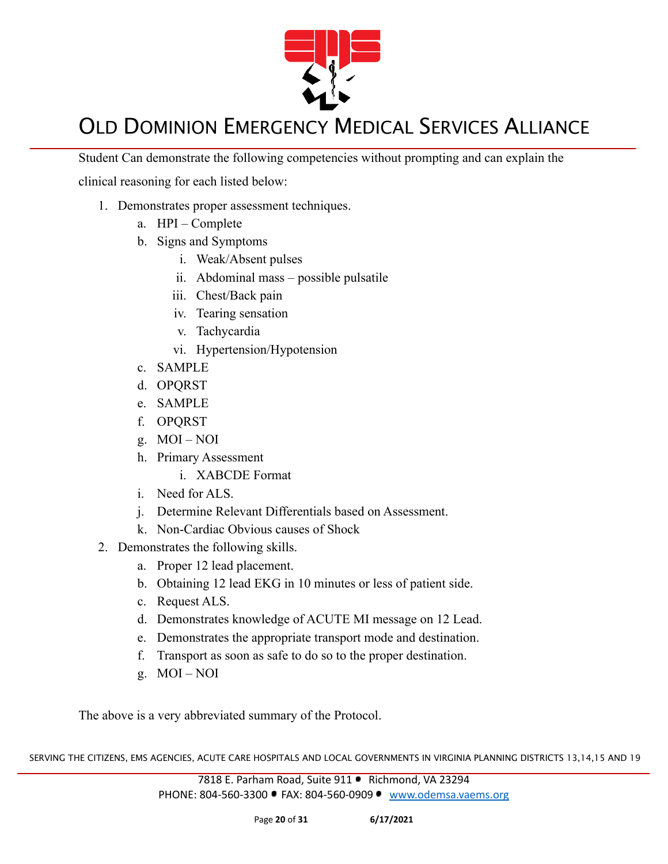

Student Can demonstrate the following competencies without prompting and can explain the

clinical reasoning for each listed below:

- 1. Demonstrates proper assessment techniques.
	- a. HPI Complete
	- b. Signs and Symptoms
		- i. Weak/Absent pulses
		- ii. Abdominal mass possible pulsatile
		- iii. Chest/Back pain
		- iv. Tearing sensation
		- v. Tachycardia
		- vi. Hypertension/Hypotension
	- c. SAMPLE
	- d. OPQRST
	- e. SAMPLE
	- f. OPQRST
	- g. MOI NOI
	- h. Primary Assessment
		- i. XABCDE Format
	- i. Need for ALS.
	- j. Determine Relevant Differentials based on Assessment.
	- k. Non-Cardiac Obvious causes of Shock
- 2. Demonstrates the following skills.
	- a. Proper 12 lead placement.
	- b. Obtaining 12 lead EKG in 10 minutes or less of patient side.
	- c. Request ALS.
	- d. Demonstrates knowledge of ACUTE MI message on 12 Lead.
	- e. Demonstrates the appropriate transport mode and destination.
	- f. Transport as soon as safe to do so to the proper destination.
	- g. MOI NOI

The above is a very abbreviated summary of the Protocol.

SERVING THE CITIZENS, EMS AGENCIES, ACUTE CARE HOSPITALS AND LOCAL GOVERNMENTS IN VIRGINIA PLANNING DISTRICTS 13,14,15 AND 19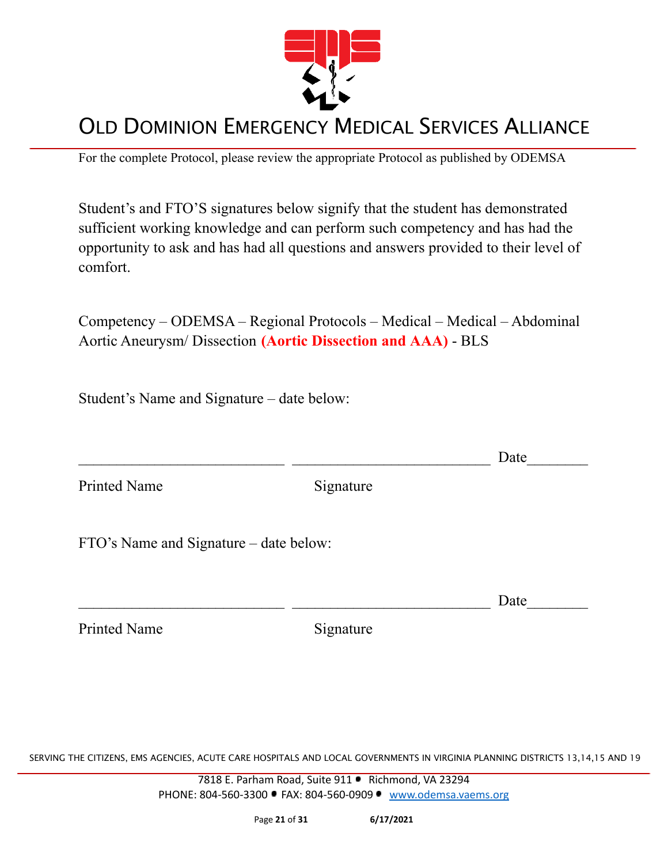

For the complete Protocol, please review the appropriate Protocol as published by ODEMSA

Student's and FTO'S signatures below signify that the student has demonstrated sufficient working knowledge and can perform such competency and has had the opportunity to ask and has had all questions and answers provided to their level of comfort.

Competency – ODEMSA – Regional Protocols – Medical – Medical – Abdominal Aortic Aneurysm/ Dissection **(Aortic Dissection and AAA)** - BLS

Student's Name and Signature – date below:

 $\Box$  Date Printed Name Signature FTO's Name and Signature – date below:

 $\Box$  Date

Printed Name Signature

SERVING THE CITIZENS, EMS AGENCIES, ACUTE CARE HOSPITALS AND LOCAL GOVERNMENTS IN VIRGINIA PLANNING DISTRICTS 13,14,15 AND 19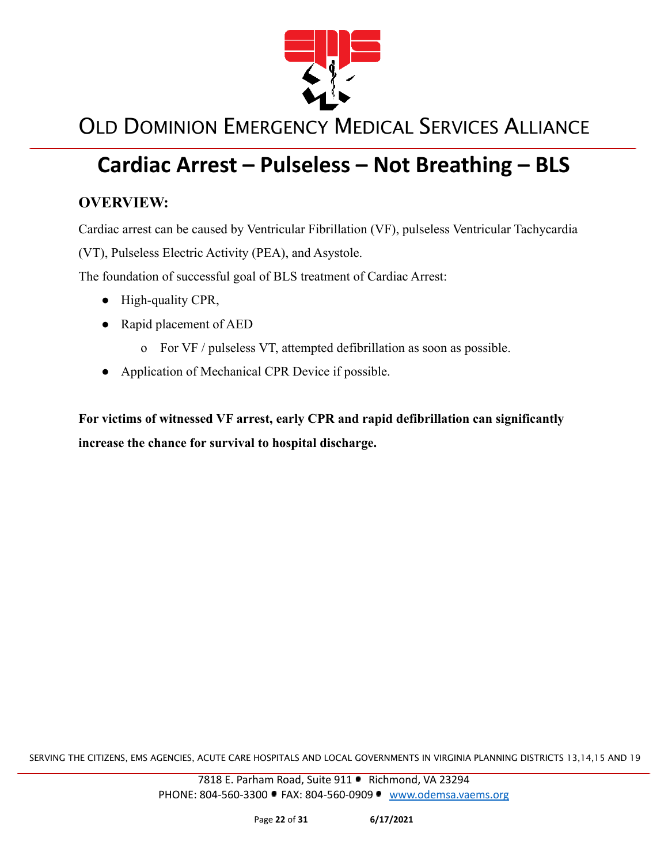

## **Cardiac Arrest – Pulseless – Not Breathing – BLS**

#### **OVERVIEW:**

Cardiac arrest can be caused by Ventricular Fibrillation (VF), pulseless Ventricular Tachycardia

(VT), Pulseless Electric Activity (PEA), and Asystole.

The foundation of successful goal of BLS treatment of Cardiac Arrest:

- High-quality CPR,
- Rapid placement of AED
	- o For VF / pulseless VT, attempted defibrillation as soon as possible.
- Application of Mechanical CPR Device if possible.

**For victims of witnessed VF arrest, early CPR and rapid defibrillation can significantly increase the chance for survival to hospital discharge.**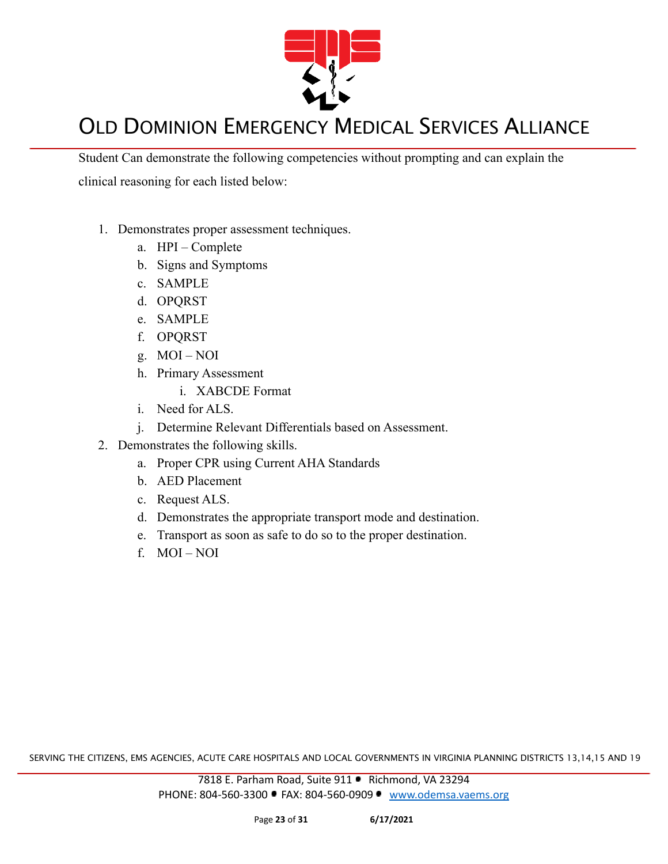

Student Can demonstrate the following competencies without prompting and can explain the clinical reasoning for each listed below:

- 1. Demonstrates proper assessment techniques.
	- a. HPI Complete
	- b. Signs and Symptoms
	- c. SAMPLE
	- d. OPQRST
	- e. SAMPLE
	- f. OPQRST
	- g. MOI NOI
	- h. Primary Assessment
		- i. XABCDE Format
	- i. Need for ALS.
	- j. Determine Relevant Differentials based on Assessment.
- 2. Demonstrates the following skills.
	- a. Proper CPR using Current AHA Standards
	- b. AED Placement
	- c. Request ALS.
	- d. Demonstrates the appropriate transport mode and destination.
	- e. Transport as soon as safe to do so to the proper destination.
	- f. MOI NOI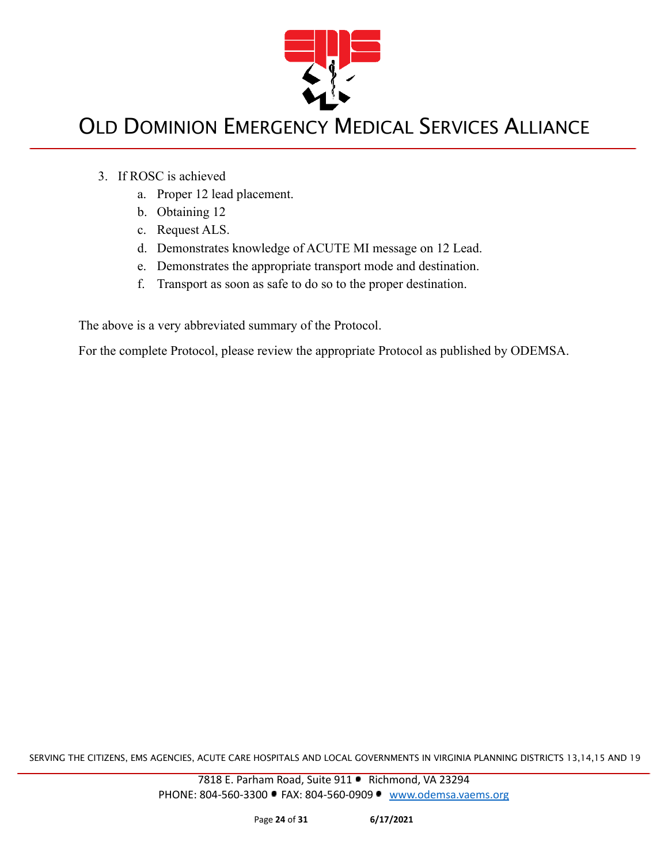

- 3. If ROSC is achieved
	- a. Proper 12 lead placement.
	- b. Obtaining 12
	- c. Request ALS.
	- d. Demonstrates knowledge of ACUTE MI message on 12 Lead.
	- e. Demonstrates the appropriate transport mode and destination.
	- f. Transport as soon as safe to do so to the proper destination.

The above is a very abbreviated summary of the Protocol.

For the complete Protocol, please review the appropriate Protocol as published by ODEMSA.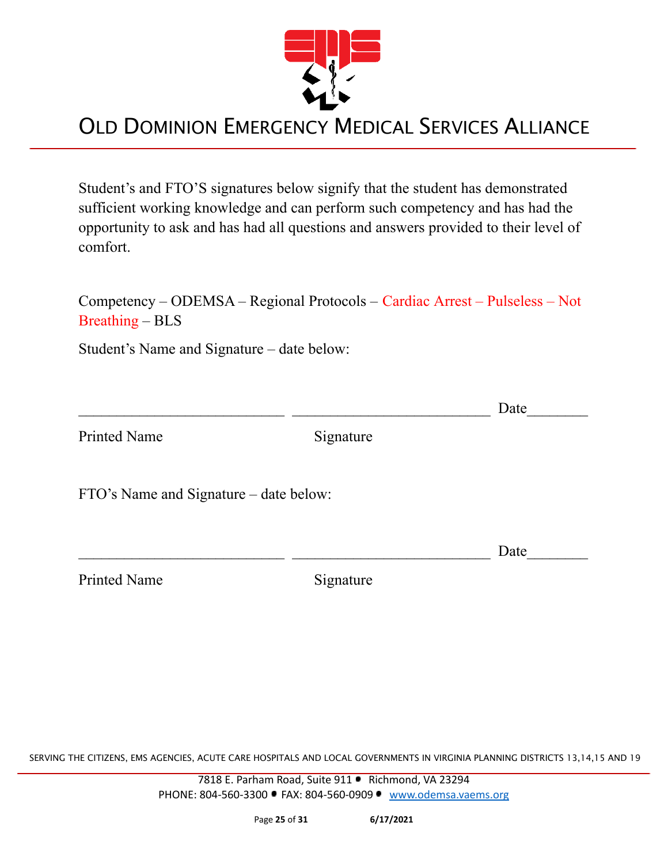

Student's and FTO'S signatures below signify that the student has demonstrated sufficient working knowledge and can perform such competency and has had the opportunity to ask and has had all questions and answers provided to their level of comfort.

Competency – ODEMSA – Regional Protocols – Cardiac Arrest – Pulseless – Not Breathing – BLS

Student's Name and Signature – date below:

 $\Box$  Date Printed Name Signature FTO's Name and Signature – date below:  $\Box$  Date

Printed Name Signature

SERVING THE CITIZENS, EMS AGENCIES, ACUTE CARE HOSPITALS AND LOCAL GOVERNMENTS IN VIRGINIA PLANNING DISTRICTS 13,14,15 AND 19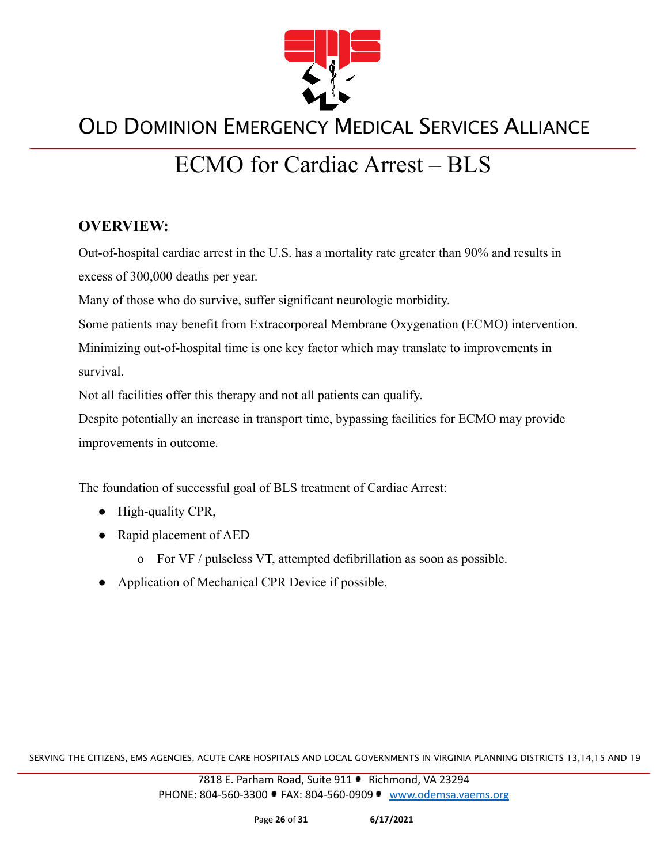

# ECMO for Cardiac Arrest – BLS

#### **OVERVIEW:**

Out-of-hospital cardiac arrest in the U.S. has a mortality rate greater than 90% and results in excess of 300,000 deaths per year.

Many of those who do survive, suffer significant neurologic morbidity.

Some patients may benefit from Extracorporeal Membrane Oxygenation (ECMO) intervention.

Minimizing out-of-hospital time is one key factor which may translate to improvements in survival.

Not all facilities offer this therapy and not all patients can qualify.

Despite potentially an increase in transport time, bypassing facilities for ECMO may provide improvements in outcome.

The foundation of successful goal of BLS treatment of Cardiac Arrest:

- High-quality CPR,
- Rapid placement of AED
	- o For VF / pulseless VT, attempted defibrillation as soon as possible.
- Application of Mechanical CPR Device if possible.

SERVING THE CITIZENS, EMS AGENCIES, ACUTE CARE HOSPITALS AND LOCAL GOVERNMENTS IN VIRGINIA PLANNING DISTRICTS 13,14,15 AND 19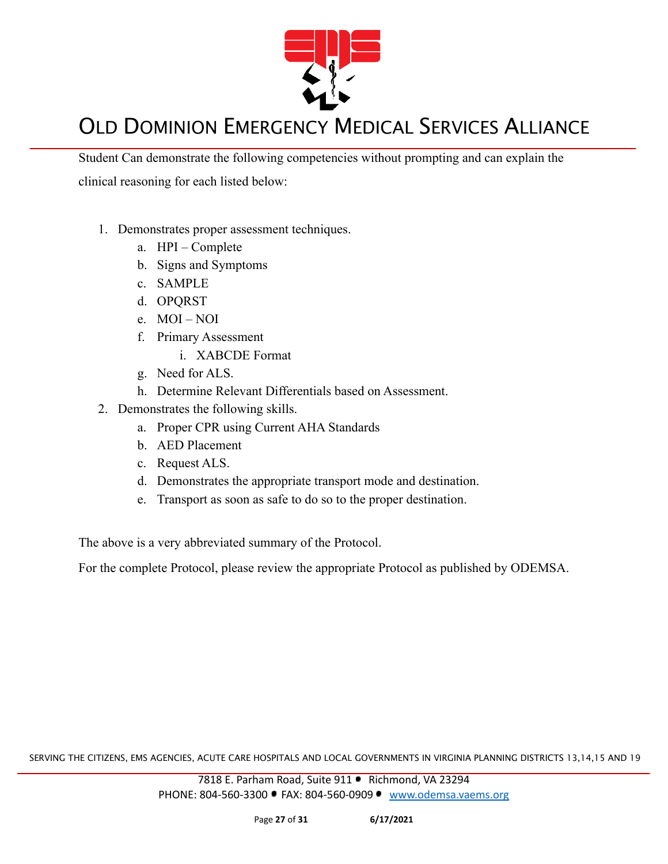

Student Can demonstrate the following competencies without prompting and can explain the clinical reasoning for each listed below:

- 1. Demonstrates proper assessment techniques.
	- a. HPI Complete
	- b. Signs and Symptoms
	- c. SAMPLE
	- d. OPQRST
	- e. MOI NOI
	- f. Primary Assessment
		- i. XABCDE Format
	- g. Need for ALS.
	- h. Determine Relevant Differentials based on Assessment.
- 2. Demonstrates the following skills.
	- a. Proper CPR using Current AHA Standards
	- b. AED Placement
	- c. Request ALS.
	- d. Demonstrates the appropriate transport mode and destination.
	- e. Transport as soon as safe to do so to the proper destination.

The above is a very abbreviated summary of the Protocol.

For the complete Protocol, please review the appropriate Protocol as published by ODEMSA.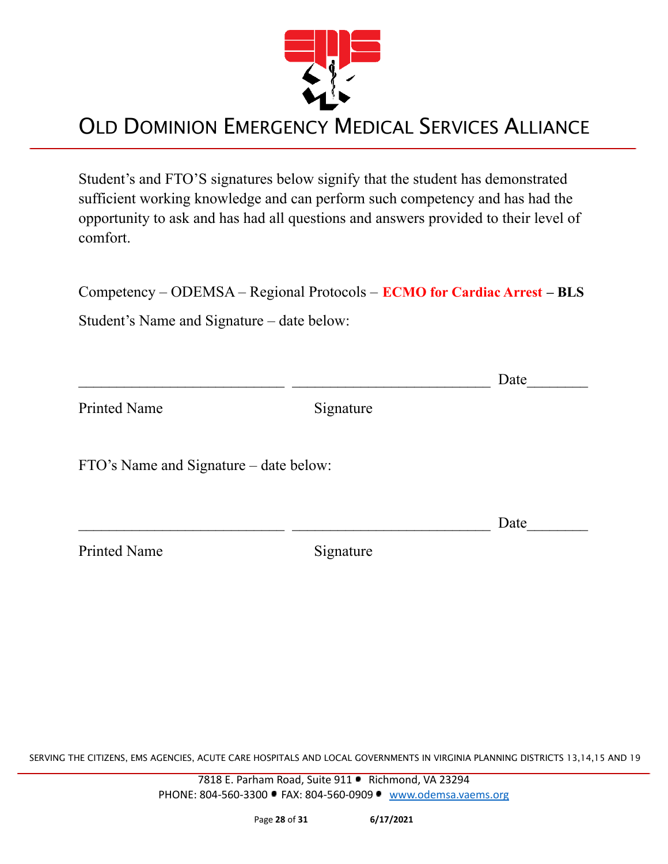

Student's and FTO'S signatures below signify that the student has demonstrated sufficient working knowledge and can perform such competency and has had the opportunity to ask and has had all questions and answers provided to their level of comfort.

Competency – ODEMSA – Regional Protocols – **ECMO for Cardiac Arrest – BLS**

Student's Name and Signature – date below:

|                                        |           | Date |
|----------------------------------------|-----------|------|
| <b>Printed Name</b>                    | Signature |      |
| FTO's Name and Signature – date below: |           |      |
|                                        |           | Date |
| <b>Printed Name</b>                    | Signature |      |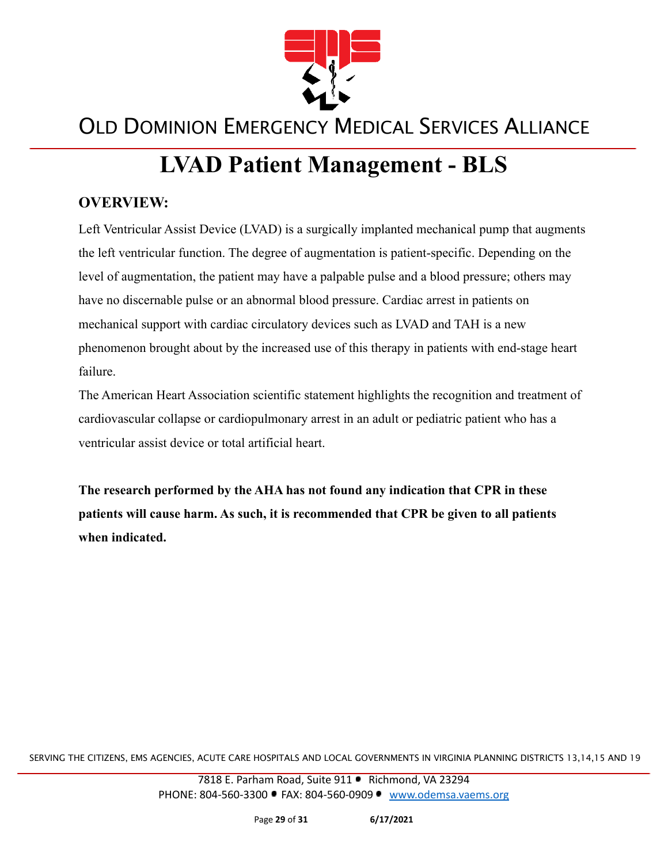

# **LVAD Patient Management - BLS**

#### **OVERVIEW:**

Left Ventricular Assist Device (LVAD) is a surgically implanted mechanical pump that augments the left ventricular function. The degree of augmentation is patient-specific. Depending on the level of augmentation, the patient may have a palpable pulse and a blood pressure; others may have no discernable pulse or an abnormal blood pressure. Cardiac arrest in patients on mechanical support with cardiac circulatory devices such as LVAD and TAH is a new phenomenon brought about by the increased use of this therapy in patients with end-stage heart failure.

The American Heart Association scientific statement highlights the recognition and treatment of cardiovascular collapse or cardiopulmonary arrest in an adult or pediatric patient who has a ventricular assist device or total artificial heart.

**The research performed by the AHA has not found any indication that CPR in these patients will cause harm. As such, it is recommended that CPR be given to all patients when indicated.**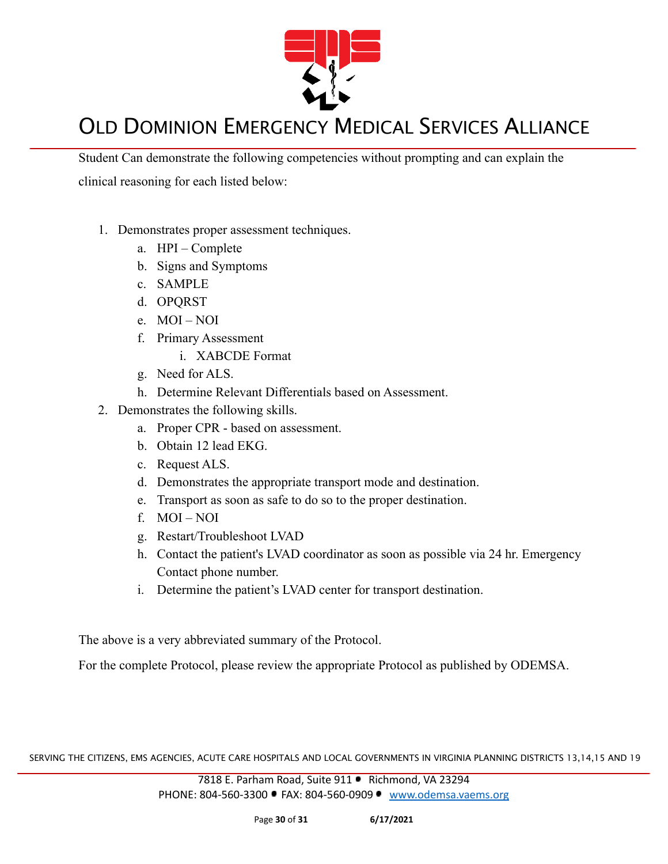

Student Can demonstrate the following competencies without prompting and can explain the clinical reasoning for each listed below:

- 1. Demonstrates proper assessment techniques.
	- a. HPI Complete
	- b. Signs and Symptoms
	- c. SAMPLE
	- d. OPQRST
	- e. MOI NOI
	- f. Primary Assessment
		- i. XABCDE Format
	- g. Need for ALS.
	- h. Determine Relevant Differentials based on Assessment.
- 2. Demonstrates the following skills.
	- a. Proper CPR based on assessment.
	- b. Obtain 12 lead EKG.
	- c. Request ALS.
	- d. Demonstrates the appropriate transport mode and destination.
	- e. Transport as soon as safe to do so to the proper destination.
	- f. MOI NOI
	- g. Restart/Troubleshoot LVAD
	- h. Contact the patient's LVAD coordinator as soon as possible via 24 hr. Emergency Contact phone number.
	- i. Determine the patient's LVAD center for transport destination.

The above is a very abbreviated summary of the Protocol.

For the complete Protocol, please review the appropriate Protocol as published by ODEMSA.

SERVING THE CITIZENS, EMS AGENCIES, ACUTE CARE HOSPITALS AND LOCAL GOVERNMENTS IN VIRGINIA PLANNING DISTRICTS 13,14,15 AND 19